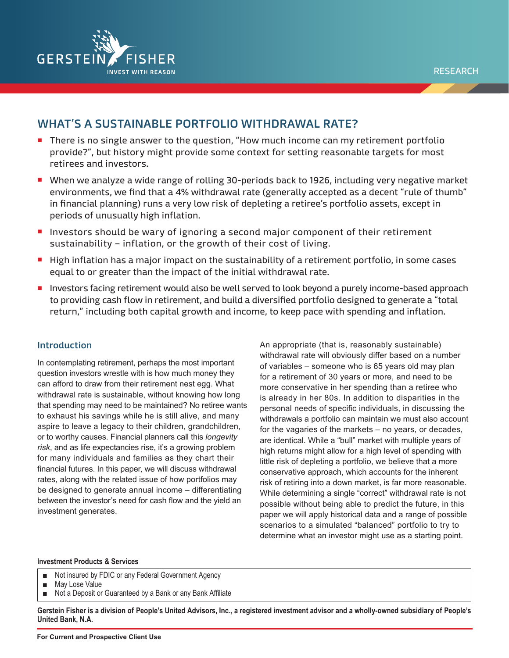

# **WHAT'S A SUSTAINABLE PORTFOLIO WITHDRAWAL RATE?**

- There is no single answer to the question, "How much income can my retirement portfolio provide?", but history might provide some context for setting reasonable targets for most retirees and investors.
- When we analyze a wide range of rolling 30-periods back to 1926, including very negative market environments, we find that a 4% withdrawal rate (generally accepted as a decent "rule of thumb" in financial planning) runs a very low risk of depleting a retiree's portfolio assets, except in periods of unusually high inflation.
- Investors should be wary of ignoring a second major component of their retirement sustainability – inflation, or the growth of their cost of living.
- High inflation has a major impact on the sustainability of a retirement portfolio, in some cases equal to or greater than the impact of the initial withdrawal rate.
- Investors facing retirement would also be well served to look beyond a purely income-based approach to providing cash flow in retirement, and build a diversified portfolio designed to generate a "total return," including both capital growth and income, to keep pace with spending and inflation.

# **Introduction**

In contemplating retirement, perhaps the most important question investors wrestle with is how much money they can afford to draw from their retirement nest egg. What withdrawal rate is sustainable, without knowing how long that spending may need to be maintained? No retiree wants to exhaust his savings while he is still alive, and many aspire to leave a legacy to their children, grandchildren, or to worthy causes. Financial planners call this *longevity risk*, and as life expectancies rise, it's a growing problem for many individuals and families as they chart their financial futures. In this paper, we will discuss withdrawal rates, along with the related issue of how portfolios may be designed to generate annual income – differentiating between the investor's need for cash flow and the yield an investment generates.

An appropriate (that is, reasonably sustainable) withdrawal rate will obviously differ based on a number of variables – someone who is 65 years old may plan for a retirement of 30 years or more, and need to be more conservative in her spending than a retiree who is already in her 80s. In addition to disparities in the personal needs of specific individuals, in discussing the withdrawals a portfolio can maintain we must also account for the vagaries of the markets – no years, or decades, are identical. While a "bull" market with multiple years of high returns might allow for a high level of spending with little risk of depleting a portfolio, we believe that a more conservative approach, which accounts for the inherent risk of retiring into a down market, is far more reasonable. While determining a single "correct" withdrawal rate is not possible without being able to predict the future, in this paper we will apply historical data and a range of possible scenarios to a simulated "balanced" portfolio to try to determine what an investor might use as a starting point.

#### **Investment Products & Services**

- Not insured by FDIC or any Federal Government Agency
- May Lose Value
- Not a Deposit or Guaranteed by a Bank or any Bank Affiliate

**Gerstein Fisher is a division of People's United Advisors, Inc., a registered investment advisor and a wholly-owned subsidiary of People's United Bank, N.A.**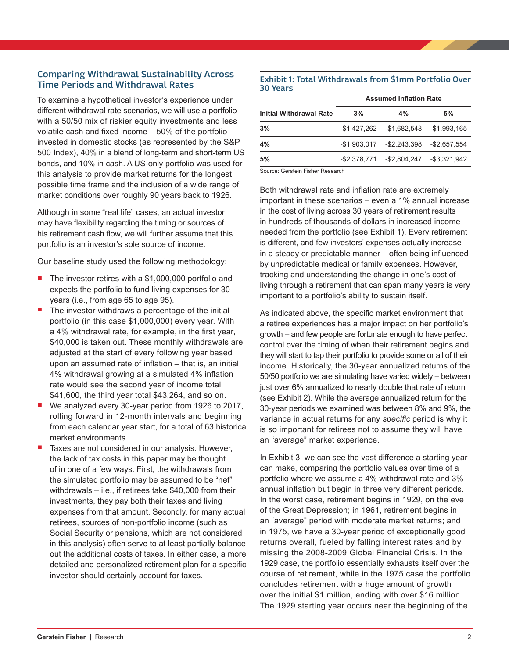# **Comparing Withdrawal Sustainability Across Time Periods and Withdrawal Rates**

To examine a hypothetical investor's experience under different withdrawal rate scenarios, we will use a portfolio with a 50/50 mix of riskier equity investments and less volatile cash and fixed income – 50% of the portfolio invested in domestic stocks (as represented by the S&P 500 Index), 40% in a blend of long-term and short-term US bonds, and 10% in cash. A US-only portfolio was used for this analysis to provide market returns for the longest possible time frame and the inclusion of a wide range of market conditions over roughly 90 years back to 1926.

Although in some "real life" cases, an actual investor may have flexibility regarding the timing or sources of his retirement cash flow, we will further assume that this portfolio is an investor's sole source of income.

Our baseline study used the following methodology:

- The investor retires with a \$1,000,000 portfolio and expects the portfolio to fund living expenses for 30 years (i.e., from age 65 to age 95).
- The investor withdraws a percentage of the initial portfolio (in this case \$1,000,000) every year. With a 4% withdrawal rate, for example, in the first year, \$40,000 is taken out. These monthly withdrawals are adjusted at the start of every following year based upon an assumed rate of inflation – that is, an initial 4% withdrawal growing at a simulated 4% inflation rate would see the second year of income total \$41,600, the third year total \$43,264, and so on.
- We analyzed every 30-year period from 1926 to 2017, rolling forward in 12-month intervals and beginning from each calendar year start, for a total of 63 historical market environments.
- Taxes are not considered in our analysis. However, the lack of tax costs in this paper may be thought of in one of a few ways. First, the withdrawals from the simulated portfolio may be assumed to be "net" withdrawals – i.e., if retirees take \$40,000 from their investments, they pay both their taxes and living expenses from that amount. Secondly, for many actual retirees, sources of non-portfolio income (such as Social Security or pensions, which are not considered in this analysis) often serve to at least partially balance out the additional costs of taxes. In either case, a more detailed and personalized retirement plan for a specific investor should certainly account for taxes.

#### **Exhibit 1: Total Withdrawals from \$1mm Portfolio Over 30 Years**

| 5%<br>$4\%$                               |
|-------------------------------------------|
|                                           |
| $-$1,427,262$ $-$1,682,548$ $-$1,993,165$ |
| $-$1,903,017$ $-$2,243,398$ $-$2,657,554$ |
| -\$2.378.771 -\$2.804.247 -\$3.321.942    |
|                                           |

Source: Gerstein Fisher Research

Both withdrawal rate and inflation rate are extremely important in these scenarios – even a 1% annual increase in the cost of living across 30 years of retirement results in hundreds of thousands of dollars in increased income needed from the portfolio (see Exhibit 1). Every retirement is different, and few investors' expenses actually increase in a steady or predictable manner – often being influenced by unpredictable medical or family expenses. However, tracking and understanding the change in one's cost of living through a retirement that can span many years is very important to a portfolio's ability to sustain itself.

As indicated above, the specific market environment that a retiree experiences has a major impact on her portfolio's growth – and few people are fortunate enough to have perfect control over the timing of when their retirement begins and they will start to tap their portfolio to provide some or all of their income. Historically, the 30-year annualized returns of the 50/50 portfolio we are simulating have varied widely – between just over 6% annualized to nearly double that rate of return (see Exhibit 2). While the average annualized return for the 30-year periods we examined was between 8% and 9%, the variance in actual returns for any *specific* period is why it is so important for retirees not to assume they will have an "average" market experience.

In Exhibit 3, we can see the vast difference a starting year can make, comparing the portfolio values over time of a portfolio where we assume a 4% withdrawal rate and 3% annual inflation but begin in three very different periods. In the worst case, retirement begins in 1929, on the eve of the Great Depression; in 1961, retirement begins in an "average" period with moderate market returns; and in 1975, we have a 30-year period of exceptionally good returns overall, fueled by falling interest rates and by missing the 2008-2009 Global Financial Crisis. In the 1929 case, the portfolio essentially exhausts itself over the course of retirement, while in the 1975 case the portfolio concludes retirement with a huge amount of growth over the initial \$1 million, ending with over \$16 million. The 1929 starting year occurs near the beginning of the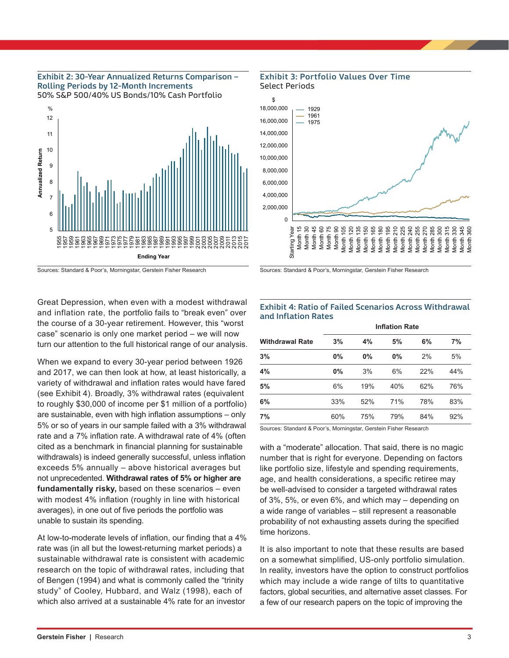# **Exhibit 2: 30-Year Annualized Returns Comparison – Rolling Periods by 12-Month Increments**







Great Depression, when even with a modest withdrawal and inflation rate, the portfolio fails to "break even" over the course of a 30-year retirement. However, this "worst case" scenario is only one market period – we will now turn our attention to the full historical range of our analysis.

When we expand to every 30-year period between 1926 and 2017, we can then look at how, at least historically, a variety of withdrawal and inflation rates would have fared (see Exhibit 4). Broadly, 3% withdrawal rates (equivalent to roughly \$30,000 of income per \$1 million of a portfolio) are sustainable, even with high inflation assumptions – only 5% or so of years in our sample failed with a 3% withdrawal rate and a 7% inflation rate. A withdrawal rate of 4% (often cited as a benchmark in financial planning for sustainable withdrawals) is indeed generally successful, unless inflation exceeds 5% annually – above historical averages but not unprecedented. **Withdrawal rates of 5% or higher are fundamentally risky,** based on these scenarios – even with modest 4% inflation (roughly in line with historical averages), in one out of five periods the portfolio was unable to sustain its spending.

At low-to-moderate levels of inflation, our finding that a 4% rate was (in all but the lowest-returning market periods) a sustainable withdrawal rate is consistent with academic research on the topic of withdrawal rates, including that of Bengen (1994) and what is commonly called the "trinity study" of Cooley, Hubbard, and Walz (1998), each of which also arrived at a sustainable 4% rate for an investor



Sources: Standard & Poor's, Morningstar, Gerstein Fisher Research

#### **Exhibit 4: Ratio of Failed Scenarios Across Withdrawal and Inflation Rates**

| <b>Withdrawal Rate</b> | <b>Inflation Rate</b> |     |       |     |     |
|------------------------|-----------------------|-----|-------|-----|-----|
|                        | 3%                    | 4%  | 5%    | 6%  | 7%  |
| 3%                     | $0\%$                 | 0%  | $0\%$ | 2%  | 5%  |
| 4%                     | $0\%$                 | 3%  | 6%    | 22% | 44% |
| 5%                     | 6%                    | 19% | 40%   | 62% | 76% |
| 6%                     | 33%                   | 52% | 71%   | 78% | 83% |
| 7%                     | 60%                   | 75% | 79%   | 84% | 92% |

Sources: Standard & Poor's, Morningstar, Gerstein Fisher Research

with a "moderate" allocation. That said, there is no magic number that is right for everyone. Depending on factors like portfolio size, lifestyle and spending requirements, age, and health considerations, a specific retiree may be well-advised to consider a targeted withdrawal rates of 3%, 5%, or even 6%, and which may – depending on a wide range of variables – still represent a reasonable probability of not exhausting assets during the specified time horizons.

It is also important to note that these results are based on a somewhat simplified, US-only portfolio simulation. In reality, investors have the option to construct portfolios which may include a wide range of tilts to quantitative factors, global securities, and alternative asset classes. For a few of our research papers on the topic of improving the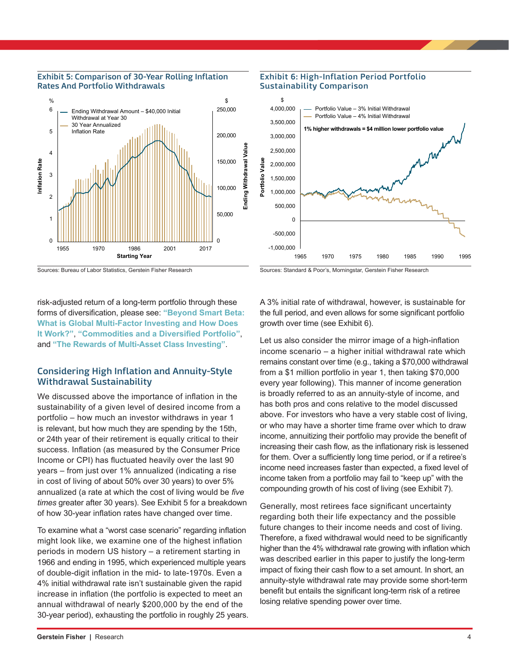

#### **Exhibit 5: Comparison of 30-Year Rolling Inflation Rates And Portfolio Withdrawals**

Sources: Bureau of Labor Statistics, Gerstein Fisher Research

### **Exhibit 6: High-Inflation Period Portfolio Sustainability Comparison**



Sources: Standard & Poor's, Morningstar, Gerstein Fisher Research

risk-adjusted return of a long-term portfolio through these forms of diversification, please see: **["Beyond Smart Beta:](https://gersteinfisher.com/wp-content/uploads/2017/11/GF_InvestingInsights_BeyondSmartBeta.pdf)  [What is Global Multi-Factor Investing and How Does](https://gersteinfisher.com/wp-content/uploads/2017/11/GF_InvestingInsights_BeyondSmartBeta.pdf)  [It Work?"](https://gersteinfisher.com/wp-content/uploads/2017/11/GF_InvestingInsights_BeyondSmartBeta.pdf)**, **["Commodities and a Diversified Portfolio"](https://gersteinfisher.com/wp-content/uploads/2017/07/GF_InvestingInsights_Commodities.pdf)**, and **["The Rewards of Multi-Asset Class Investing"](https://gersteinfisher.com/wp-content/uploads/2017/04/THE-REWARDS-OF-MULTI-ASSET-CLASS-INVESTING.pdf)**.

# **Considering High Inflation and Annuity-Style Withdrawal Sustainability**

We discussed above the importance of inflation in the sustainability of a given level of desired income from a portfolio – how much an investor withdraws in year 1 is relevant, but how much they are spending by the 15th, or 24th year of their retirement is equally critical to their success. Inflation (as measured by the Consumer Price Income or CPI) has fluctuated heavily over the last 90 years – from just over 1% annualized (indicating a rise in cost of living of about 50% over 30 years) to over 5% annualized (a rate at which the cost of living would be *five times* greater after 30 years). See Exhibit 5 for a breakdown of how 30-year inflation rates have changed over time.

To examine what a "worst case scenario" regarding inflation might look like, we examine one of the highest inflation periods in modern US history – a retirement starting in 1966 and ending in 1995, which experienced multiple years of double-digit inflation in the mid- to late-1970s. Even a 4% initial withdrawal rate isn't sustainable given the rapid increase in inflation (the portfolio is expected to meet an annual withdrawal of nearly \$200,000 by the end of the 30-year period), exhausting the portfolio in roughly 25 years. A 3% initial rate of withdrawal, however, is sustainable for the full period, and even allows for some significant portfolio growth over time (see Exhibit 6).

Let us also consider the mirror image of a high-inflation income scenario – a higher initial withdrawal rate which remains constant over time (e.g., taking a \$70,000 withdrawal from a \$1 million portfolio in year 1, then taking \$70,000 every year following). This manner of income generation is broadly referred to as an annuity-style of income, and has both pros and cons relative to the model discussed above. For investors who have a very stable cost of living, or who may have a shorter time frame over which to draw income, annuitizing their portfolio may provide the benefit of increasing their cash flow, as the inflationary risk is lessened for them. Over a sufficiently long time period, or if a retiree's income need increases faster than expected, a fixed level of income taken from a portfolio may fail to "keep up" with the compounding growth of his cost of living (see Exhibit 7).

Generally, most retirees face significant uncertainty regarding both their life expectancy and the possible future changes to their income needs and cost of living. Therefore, a fixed withdrawal would need to be significantly higher than the 4% withdrawal rate growing with inflation which was described earlier in this paper to justify the long-term impact of fixing their cash flow to a set amount. In short, an annuity-style withdrawal rate may provide some short-term benefit but entails the significant long-term risk of a retiree losing relative spending power over time.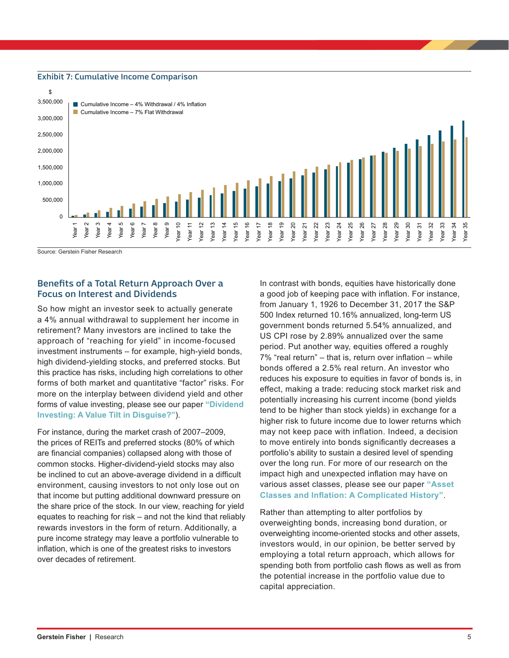#### **Exhibit 7: Cumulative Income Comparison**



Source: Gerstein Fisher Research

### **Benefits of a Total Return Approach Over a Focus on Interest and Dividends**

So how might an investor seek to actually generate a 4% annual withdrawal to supplement her income in retirement? Many investors are inclined to take the approach of "reaching for yield" in income-focused investment instruments – for example, high-yield bonds, high dividend-yielding stocks, and preferred stocks. But this practice has risks, including high correlations to other forms of both market and quantitative "factor" risks. For more on the interplay between dividend yield and other forms of value investing, please see our paper **["Dividend](https://gersteinfisher.com/dividend-investing-a-value-tilt-in-disguise/)  [Investing: A Value Tilt in Disguise?"](https://gersteinfisher.com/dividend-investing-a-value-tilt-in-disguise/)**).

For instance, during the market crash of 2007–2009, the prices of REITs and preferred stocks (80% of which are financial companies) collapsed along with those of common stocks. Higher-dividend-yield stocks may also be inclined to cut an above-average dividend in a difficult environment, causing investors to not only lose out on that income but putting additional downward pressure on the share price of the stock. In our view, reaching for yield equates to reaching for risk – and not the kind that reliably rewards investors in the form of return. Additionally, a pure income strategy may leave a portfolio vulnerable to inflation, which is one of the greatest risks to investors over decades of retirement.

In contrast with bonds, equities have historically done a good job of keeping pace with inflation. For instance, from January 1, 1926 to December 31, 2017 the S&P 500 Index returned 10.16% annualized, long-term US government bonds returned 5.54% annualized, and US CPI rose by 2.89% annualized over the same period. Put another way, equities offered a roughly 7% "real return" – that is, return over inflation – while bonds offered a 2.5% real return. An investor who reduces his exposure to equities in favor of bonds is, in effect, making a trade: reducing stock market risk and potentially increasing his current income (bond yields tend to be higher than stock yields) in exchange for a higher risk to future income due to lower returns which may not keep pace with inflation. Indeed, a decision to move entirely into bonds significantly decreases a portfolio's ability to sustain a desired level of spending over the long run. For more of our research on the impact high and unexpected inflation may have on various asset classes, please see our paper **["Asset](https://gersteinfisher.com/gf_article/asset-classes-inflation-complicated-history/)  [Classes and Inflation: A Complicated History"](https://gersteinfisher.com/gf_article/asset-classes-inflation-complicated-history/)**.

Rather than attempting to alter portfolios by overweighting bonds, increasing bond duration, or overweighting income-oriented stocks and other assets, investors would, in our opinion, be better served by employing a total return approach, which allows for spending both from portfolio cash flows as well as from the potential increase in the portfolio value due to capital appreciation.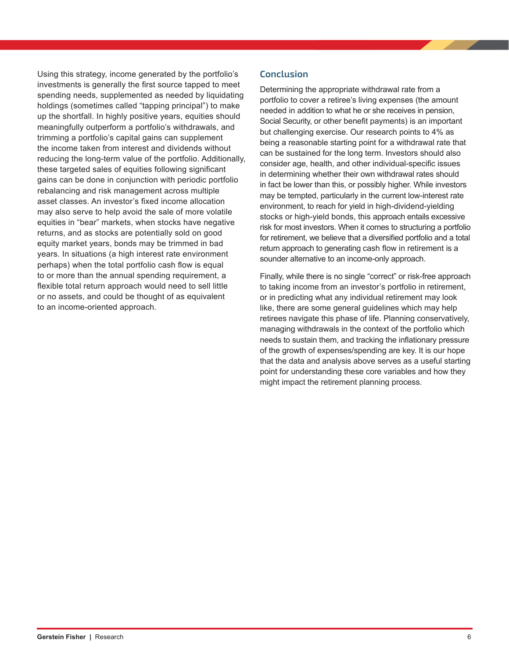Using this strategy, income generated by the portfolio's investments is generally the first source tapped to meet spending needs, supplemented as needed by liquidating holdings (sometimes called "tapping principal") to make up the shortfall. In highly positive years, equities should meaningfully outperform a portfolio's withdrawals, and trimming a portfolio's capital gains can supplement the income taken from interest and dividends without reducing the long-term value of the portfolio. Additionally, these targeted sales of equities following significant gains can be done in conjunction with periodic portfolio rebalancing and risk management across multiple asset classes. An investor's fixed income allocation may also serve to help avoid the sale of more volatile equities in "bear" markets, when stocks have negative returns, and as stocks are potentially sold on good equity market years, bonds may be trimmed in bad years. In situations (a high interest rate environment perhaps) when the total portfolio cash flow is equal to or more than the annual spending requirement, a flexible total return approach would need to sell little or no assets, and could be thought of as equivalent to an income-oriented approach.

# **Conclusion**

Determining the appropriate withdrawal rate from a portfolio to cover a retiree's living expenses (the amount needed in addition to what he or she receives in pension, Social Security, or other benefit payments) is an important but challenging exercise. Our research points to 4% as being a reasonable starting point for a withdrawal rate that can be sustained for the long term. Investors should also consider age, health, and other individual-specific issues in determining whether their own withdrawal rates should in fact be lower than this, or possibly higher. While investors may be tempted, particularly in the current low-interest rate environment, to reach for yield in high-dividend-yielding stocks or high-yield bonds, this approach entails excessive risk for most investors. When it comes to structuring a portfolio for retirement, we believe that a diversified portfolio and a total return approach to generating cash flow in retirement is a sounder alternative to an income-only approach.

Finally, while there is no single "correct" or risk-free approach to taking income from an investor's portfolio in retirement, or in predicting what any individual retirement may look like, there are some general guidelines which may help retirees navigate this phase of life. Planning conservatively, managing withdrawals in the context of the portfolio which needs to sustain them, and tracking the inflationary pressure of the growth of expenses/spending are key. It is our hope that the data and analysis above serves as a useful starting point for understanding these core variables and how they might impact the retirement planning process.